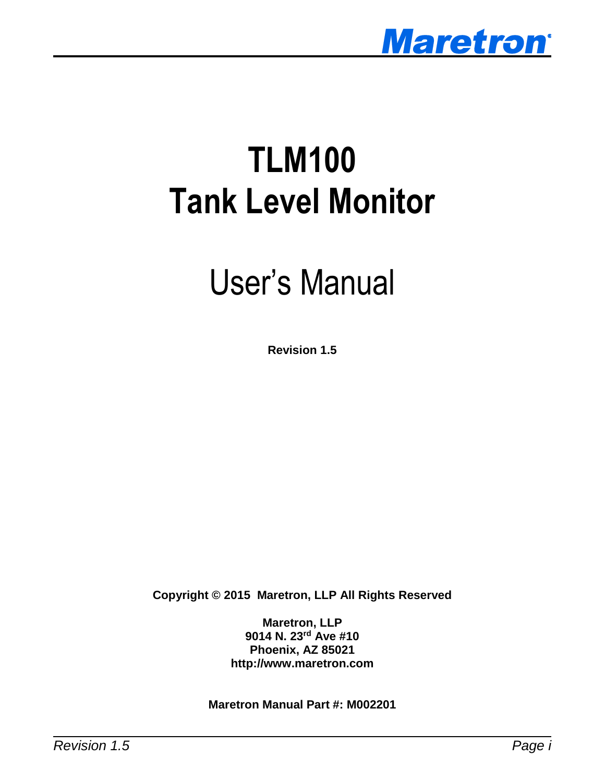

# **TLM100 Tank Level Monitor**

# User's Manual

**Revision 1.5**

**Copyright © 2015 Maretron, LLP All Rights Reserved**

**Maretron, LLP 9014 N. 23rd Ave #10 Phoenix, AZ 85021 http://www.maretron.com**

**Maretron Manual Part #: M002201**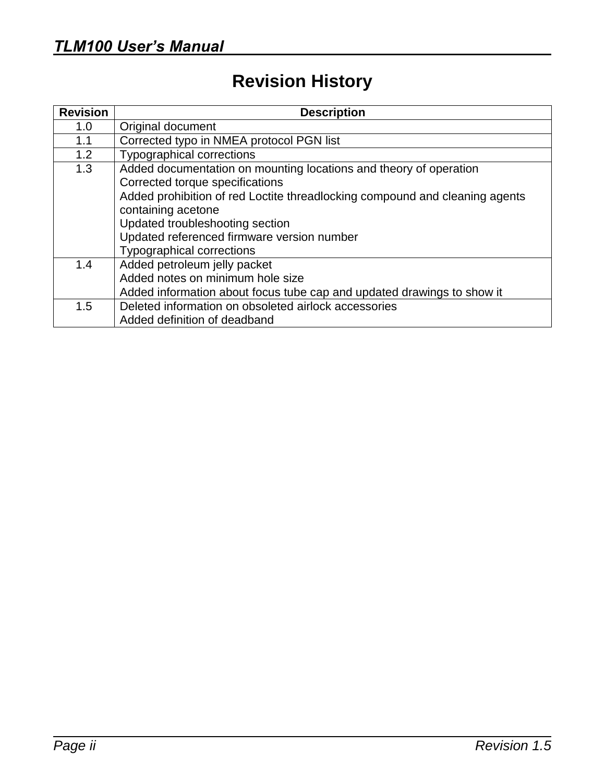# **Revision History**

| <b>Revision</b>                            | <b>Description</b>                                                          |  |  |
|--------------------------------------------|-----------------------------------------------------------------------------|--|--|
| 1.0                                        | Original document                                                           |  |  |
| 1.1                                        | Corrected typo in NMEA protocol PGN list                                    |  |  |
| 1.2                                        | Typographical corrections                                                   |  |  |
| 1.3                                        | Added documentation on mounting locations and theory of operation           |  |  |
|                                            | Corrected torque specifications                                             |  |  |
|                                            | Added prohibition of red Loctite threadlocking compound and cleaning agents |  |  |
|                                            | containing acetone                                                          |  |  |
|                                            | Updated troubleshooting section                                             |  |  |
| Updated referenced firmware version number |                                                                             |  |  |
|                                            | <b>Typographical corrections</b>                                            |  |  |
| 1.4                                        | Added petroleum jelly packet                                                |  |  |
|                                            | Added notes on minimum hole size                                            |  |  |
|                                            | Added information about focus tube cap and updated drawings to show it      |  |  |
| 1.5                                        | Deleted information on obsoleted airlock accessories                        |  |  |
|                                            | Added definition of deadband                                                |  |  |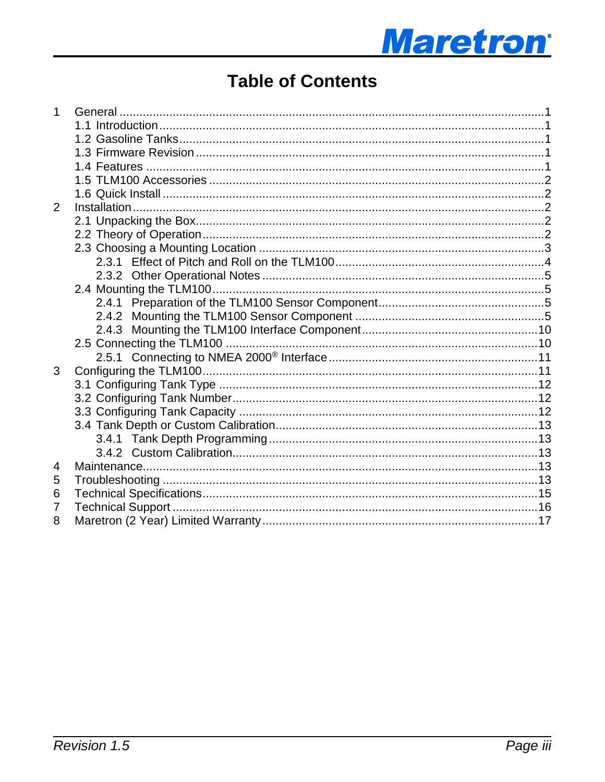# **Maretron**®

# **Table of Contents**

| 1              |  |
|----------------|--|
|                |  |
|                |  |
|                |  |
|                |  |
|                |  |
|                |  |
| $\overline{2}$ |  |
|                |  |
|                |  |
|                |  |
|                |  |
|                |  |
|                |  |
|                |  |
|                |  |
|                |  |
|                |  |
|                |  |
| 3              |  |
|                |  |
|                |  |
|                |  |
|                |  |
|                |  |
|                |  |
| 4              |  |
| 5              |  |
| 6              |  |
| 7              |  |
| 8              |  |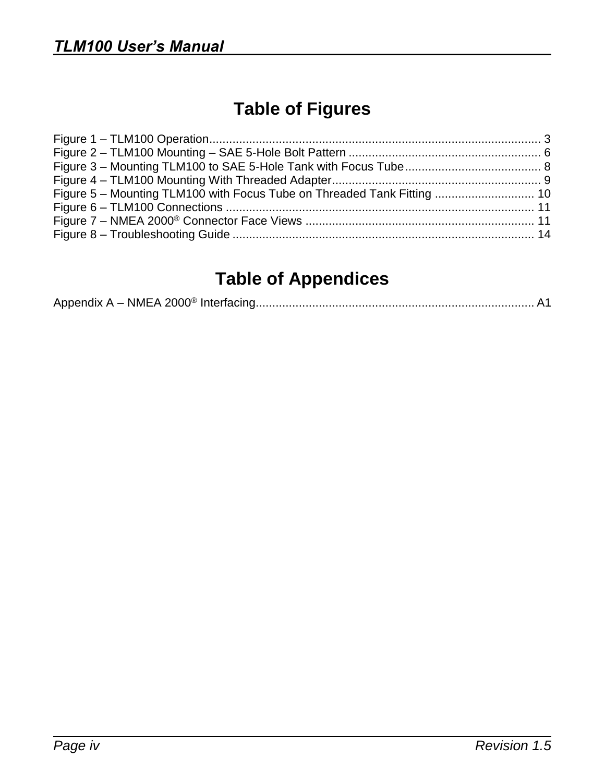# **Table of Figures**

# **Table of Appendices**

|--|--|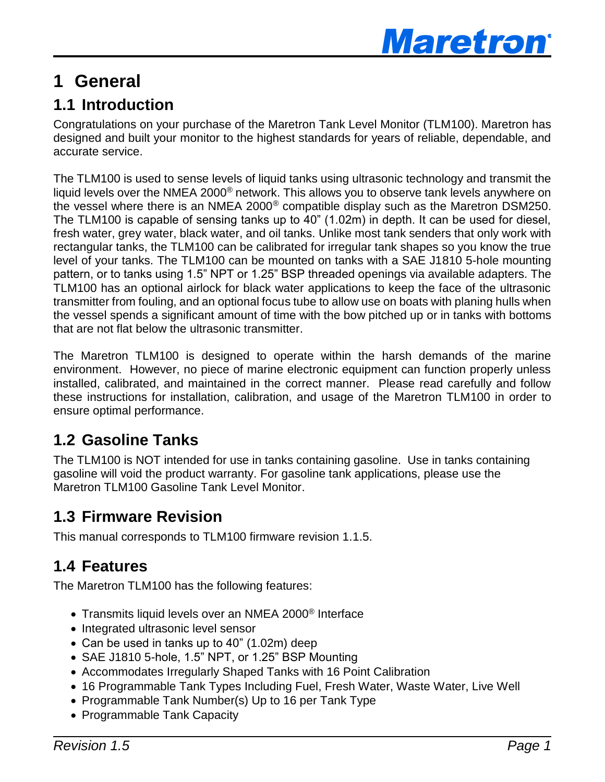

# <span id="page-4-0"></span>**1 General**

## <span id="page-4-1"></span>**1.1 Introduction**

Congratulations on your purchase of the Maretron Tank Level Monitor (TLM100). Maretron has designed and built your monitor to the highest standards for years of reliable, dependable, and accurate service.

The TLM100 is used to sense levels of liquid tanks using ultrasonic technology and transmit the liquid levels over the NMEA 2000® network. This allows you to observe tank levels anywhere on the vessel where there is an NMEA 2000® compatible display such as the Maretron DSM250. The TLM100 is capable of sensing tanks up to 40" (1.02m) in depth. It can be used for diesel, fresh water, grey water, black water, and oil tanks. Unlike most tank senders that only work with rectangular tanks, the TLM100 can be calibrated for irregular tank shapes so you know the true level of your tanks. The TLM100 can be mounted on tanks with a SAE J1810 5-hole mounting pattern, or to tanks using 1.5" NPT or 1.25" BSP threaded openings via available adapters. The TLM100 has an optional airlock for black water applications to keep the face of the ultrasonic transmitter from fouling, and an optional focus tube to allow use on boats with planing hulls when the vessel spends a significant amount of time with the bow pitched up or in tanks with bottoms that are not flat below the ultrasonic transmitter.

The Maretron TLM100 is designed to operate within the harsh demands of the marine environment. However, no piece of marine electronic equipment can function properly unless installed, calibrated, and maintained in the correct manner. Please read carefully and follow these instructions for installation, calibration, and usage of the Maretron TLM100 in order to ensure optimal performance.

## <span id="page-4-2"></span>**1.2 Gasoline Tanks**

The TLM100 is NOT intended for use in tanks containing gasoline. Use in tanks containing gasoline will void the product warranty. For gasoline tank applications, please use the Maretron TLM100 Gasoline Tank Level Monitor.

## <span id="page-4-3"></span>**1.3 Firmware Revision**

This manual corresponds to TLM100 firmware revision 1.1.5.

## <span id="page-4-4"></span>**1.4 Features**

The Maretron TLM100 has the following features:

- Transmits liquid levels over an NMEA 2000® Interface
- Integrated ultrasonic level sensor
- Can be used in tanks up to 40" (1.02m) deep
- SAE J1810 5-hole, 1.5" NPT, or 1.25" BSP Mounting
- Accommodates Irregularly Shaped Tanks with 16 Point Calibration
- 16 Programmable Tank Types Including Fuel, Fresh Water, Waste Water, Live Well
- Programmable Tank Number(s) Up to 16 per Tank Type
- Programmable Tank Capacity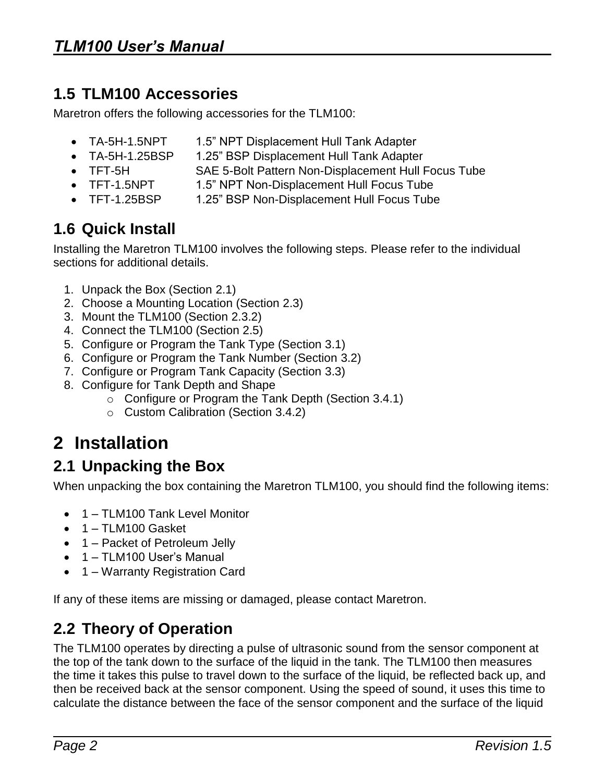## <span id="page-5-0"></span>**1.5 TLM100 Accessories**

Maretron offers the following accessories for the TLM100:

- TA-5H-1.5NPT 1.5" NPT Displacement Hull Tank Adapter
- TA-5H-1.25BSP 1.25" BSP Displacement Hull Tank Adapter
- TFT-5H SAE 5-Bolt Pattern Non-Displacement Hull Focus Tube
- TFT-1.5NPT 1.5" NPT Non-Displacement Hull Focus Tube
- TFT-1.25BSP 1.25" BSP Non-Displacement Hull Focus Tube

## <span id="page-5-1"></span>**1.6 Quick Install**

Installing the Maretron TLM100 involves the following steps. Please refer to the individual sections for additional details.

- 1. Unpack the Box (Section [2.1\)](#page-5-3)
- 2. Choose a Mounting Location (Section [2.3\)](#page-6-0)
- 3. Mount the TLM100 (Section [2.3.2\)](#page-8-0)
- 4. Connect the TLM100 (Section [2.5\)](#page-13-1)
- 5. Configure or Program the Tank Type (Section [3.1\)](#page-15-0)
- 6. Configure or Program the Tank Number (Section [3.2\)](#page-15-1)
- 7. Configure or Program Tank Capacity (Section [3.3\)](#page-15-2)
- 8. Configure for Tank Depth and Shape
	- o Configure or Program the Tank Depth (Section [3.4.1\)](#page-16-1)
	- o Custom Calibration (Section [3.4.2\)](#page-16-2)

# <span id="page-5-2"></span>**2 Installation**

## <span id="page-5-3"></span>**2.1 Unpacking the Box**

When unpacking the box containing the Maretron TLM100, you should find the following items:

- 1 TLM100 Tank Level Monitor
- $\bullet$  1 TLM100 Gasket
- 1 Packet of Petroleum Jelly
- 1 TLM100 User's Manual
- 1 Warranty Registration Card

If any of these items are missing or damaged, please contact Maretron.

## <span id="page-5-4"></span>**2.2 Theory of Operation**

The TLM100 operates by directing a pulse of ultrasonic sound from the sensor component at the top of the tank down to the surface of the liquid in the tank. The TLM100 then measures the time it takes this pulse to travel down to the surface of the liquid, be reflected back up, and then be received back at the sensor component. Using the speed of sound, it uses this time to calculate the distance between the face of the sensor component and the surface of the liquid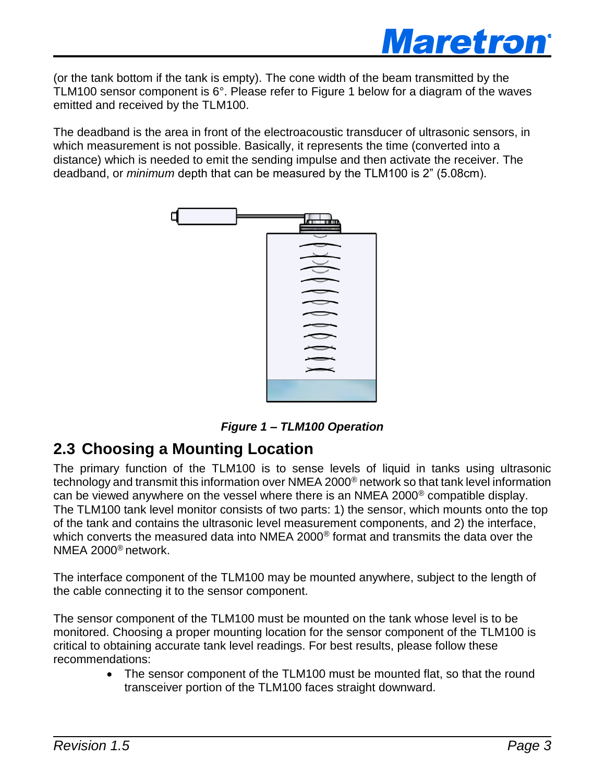

(or the tank bottom if the tank is empty). The cone width of the beam transmitted by the TLM100 sensor component is 6°. Please refer to [Figure 1](#page-6-1) below for a diagram of the waves emitted and received by the TLM100.

The deadband is the area in front of the electroacoustic transducer of ultrasonic sensors, in which measurement is not possible. Basically, it represents the time (converted into a distance) which is needed to emit the sending impulse and then activate the receiver. The deadband, or *minimum* depth that can be measured by the TLM100 is 2" (5.08cm).



*Figure 1 – TLM100 Operation*

## <span id="page-6-1"></span><span id="page-6-0"></span>**2.3 Choosing a Mounting Location**

The primary function of the TLM100 is to sense levels of liquid in tanks using ultrasonic technology and transmit this information over NMEA 2000® network so that tank level information can be viewed anywhere on the vessel where there is an NMEA 2000® compatible display. The TLM100 tank level monitor consists of two parts: 1) the sensor, which mounts onto the top of the tank and contains the ultrasonic level measurement components, and 2) the interface, which converts the measured data into NMEA 2000® format and transmits the data over the NMEA 2000® network.

The interface component of the TLM100 may be mounted anywhere, subject to the length of the cable connecting it to the sensor component.

The sensor component of the TLM100 must be mounted on the tank whose level is to be monitored. Choosing a proper mounting location for the sensor component of the TLM100 is critical to obtaining accurate tank level readings. For best results, please follow these recommendations:

 The sensor component of the TLM100 must be mounted flat, so that the round transceiver portion of the TLM100 faces straight downward.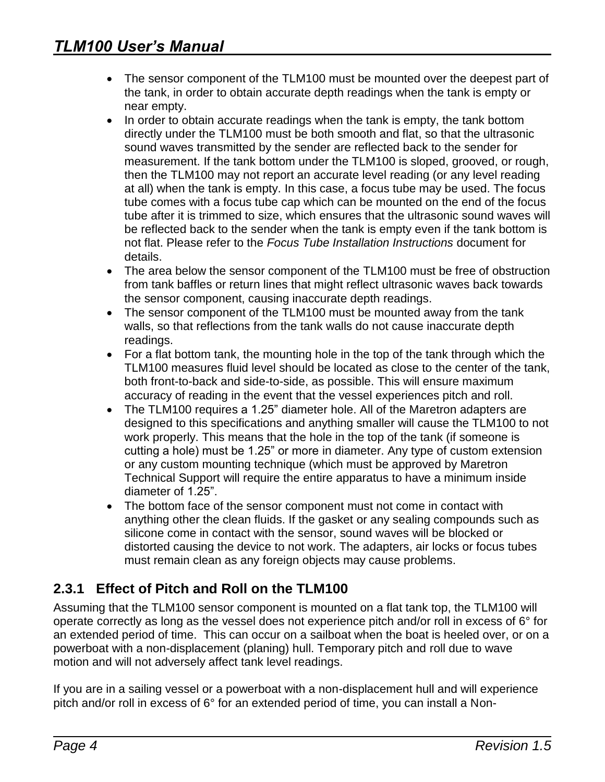- The sensor component of the TLM100 must be mounted over the deepest part of the tank, in order to obtain accurate depth readings when the tank is empty or near empty.
- In order to obtain accurate readings when the tank is empty, the tank bottom directly under the TLM100 must be both smooth and flat, so that the ultrasonic sound waves transmitted by the sender are reflected back to the sender for measurement. If the tank bottom under the TLM100 is sloped, grooved, or rough, then the TLM100 may not report an accurate level reading (or any level reading at all) when the tank is empty. In this case, a focus tube may be used. The focus tube comes with a focus tube cap which can be mounted on the end of the focus tube after it is trimmed to size, which ensures that the ultrasonic sound waves will be reflected back to the sender when the tank is empty even if the tank bottom is not flat. Please refer to the *Focus Tube Installation Instructions* document for details.
- The area below the sensor component of the TLM100 must be free of obstruction from tank baffles or return lines that might reflect ultrasonic waves back towards the sensor component, causing inaccurate depth readings.
- The sensor component of the TLM100 must be mounted away from the tank walls, so that reflections from the tank walls do not cause inaccurate depth readings.
- For a flat bottom tank, the mounting hole in the top of the tank through which the TLM100 measures fluid level should be located as close to the center of the tank, both front-to-back and side-to-side, as possible. This will ensure maximum accuracy of reading in the event that the vessel experiences pitch and roll.
- The TLM100 requires a 1.25" diameter hole. All of the Maretron adapters are designed to this specifications and anything smaller will cause the TLM100 to not work properly. This means that the hole in the top of the tank (if someone is cutting a hole) must be 1.25" or more in diameter. Any type of custom extension or any custom mounting technique (which must be approved by Maretron Technical Support will require the entire apparatus to have a minimum inside diameter of 1.25".
- The bottom face of the sensor component must not come in contact with anything other the clean fluids. If the gasket or any sealing compounds such as silicone come in contact with the sensor, sound waves will be blocked or distorted causing the device to not work. The adapters, air locks or focus tubes must remain clean as any foreign objects may cause problems.

### <span id="page-7-0"></span>**2.3.1 Effect of Pitch and Roll on the TLM100**

Assuming that the TLM100 sensor component is mounted on a flat tank top, the TLM100 will operate correctly as long as the vessel does not experience pitch and/or roll in excess of 6° for an extended period of time. This can occur on a sailboat when the boat is heeled over, or on a powerboat with a non-displacement (planing) hull. Temporary pitch and roll due to wave motion and will not adversely affect tank level readings.

If you are in a sailing vessel or a powerboat with a non-displacement hull and will experience pitch and/or roll in excess of 6° for an extended period of time, you can install a Non-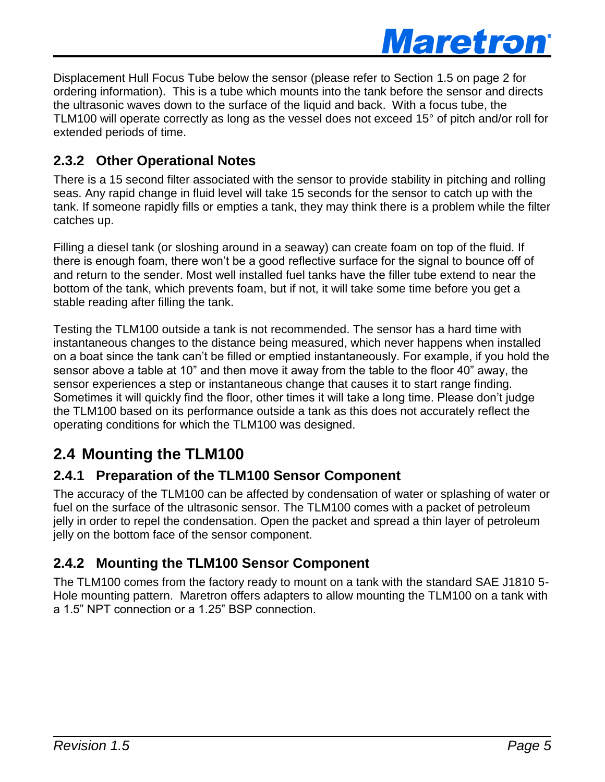

Displacement Hull Focus Tube below the sensor (please refer to Section [1.5](#page-5-0) on page [2](#page-5-0) for ordering information). This is a tube which mounts into the tank before the sensor and directs the ultrasonic waves down to the surface of the liquid and back. With a focus tube, the TLM100 will operate correctly as long as the vessel does not exceed 15° of pitch and/or roll for extended periods of time.

#### <span id="page-8-0"></span>**2.3.2 Other Operational Notes**

There is a 15 second filter associated with the sensor to provide stability in pitching and rolling seas. Any rapid change in fluid level will take 15 seconds for the sensor to catch up with the tank. If someone rapidly fills or empties a tank, they may think there is a problem while the filter catches up.

Filling a diesel tank (or sloshing around in a seaway) can create foam on top of the fluid. If there is enough foam, there won't be a good reflective surface for the signal to bounce off of and return to the sender. Most well installed fuel tanks have the filler tube extend to near the bottom of the tank, which prevents foam, but if not, it will take some time before you get a stable reading after filling the tank.

Testing the TLM100 outside a tank is not recommended. The sensor has a hard time with instantaneous changes to the distance being measured, which never happens when installed on a boat since the tank can't be filled or emptied instantaneously. For example, if you hold the sensor above a table at 10" and then move it away from the table to the floor 40" away, the sensor experiences a step or instantaneous change that causes it to start range finding. Sometimes it will quickly find the floor, other times it will take a long time. Please don't judge the TLM100 based on its performance outside a tank as this does not accurately reflect the operating conditions for which the TLM100 was designed.

## <span id="page-8-1"></span>**2.4 Mounting the TLM100**

#### <span id="page-8-2"></span>**2.4.1 Preparation of the TLM100 Sensor Component**

The accuracy of the TLM100 can be affected by condensation of water or splashing of water or fuel on the surface of the ultrasonic sensor. The TLM100 comes with a packet of petroleum jelly in order to repel the condensation. Open the packet and spread a thin layer of petroleum jelly on the bottom face of the sensor component.

#### <span id="page-8-3"></span>**2.4.2 Mounting the TLM100 Sensor Component**

The TLM100 comes from the factory ready to mount on a tank with the standard SAE J1810 5- Hole mounting pattern. Maretron offers adapters to allow mounting the TLM100 on a tank with a 1.5" NPT connection or a 1.25" BSP connection.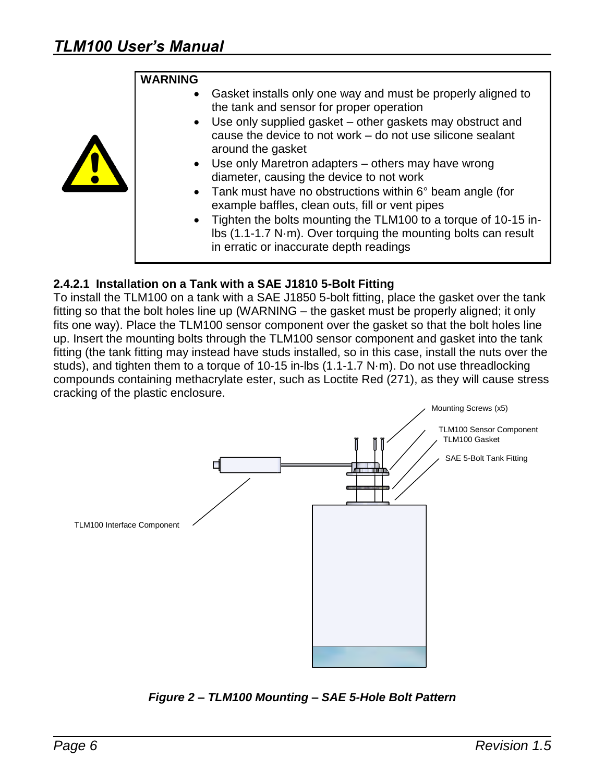| <b>WARNING</b> | • Gasket installs only one way and must be properly aligned to<br>the tank and sensor for proper operation<br>• Use only supplied gasket – other gaskets may obstruct and<br>cause the device to not work – do not use silicone sealant<br>around the gasket<br>• Use only Maretron adapters - others may have wrong<br>diameter, causing the device to not work<br>• Tank must have no obstructions within 6° beam angle (for<br>example baffles, clean outs, fill or vent pipes<br>• Tighten the bolts mounting the TLM100 to a torque of 10-15 in-<br>Ibs (1.1-1.7 N·m). Over torquing the mounting bolts can result |
|----------------|-------------------------------------------------------------------------------------------------------------------------------------------------------------------------------------------------------------------------------------------------------------------------------------------------------------------------------------------------------------------------------------------------------------------------------------------------------------------------------------------------------------------------------------------------------------------------------------------------------------------------|
|                | in erratic or inaccurate depth readings                                                                                                                                                                                                                                                                                                                                                                                                                                                                                                                                                                                 |

#### **2.4.2.1 Installation on a Tank with a SAE J1810 5-Bolt Fitting**

To install the TLM100 on a tank with a SAE J1850 5-bolt fitting, place the gasket over the tank fitting so that the bolt holes line up (WARNING – the gasket must be properly aligned; it only fits one way). Place the TLM100 sensor component over the gasket so that the bolt holes line up. Insert the mounting bolts through the TLM100 sensor component and gasket into the tank fitting (the tank fitting may instead have studs installed, so in this case, install the nuts over the studs), and tighten them to a torque of 10-15 in-lbs (1.1-1.7 N·m). Do not use threadlocking compounds containing methacrylate ester, such as Loctite Red (271), as they will cause stress cracking of the plastic enclosure.



*Figure 2 – TLM100 Mounting – SAE 5-Hole Bolt Pattern*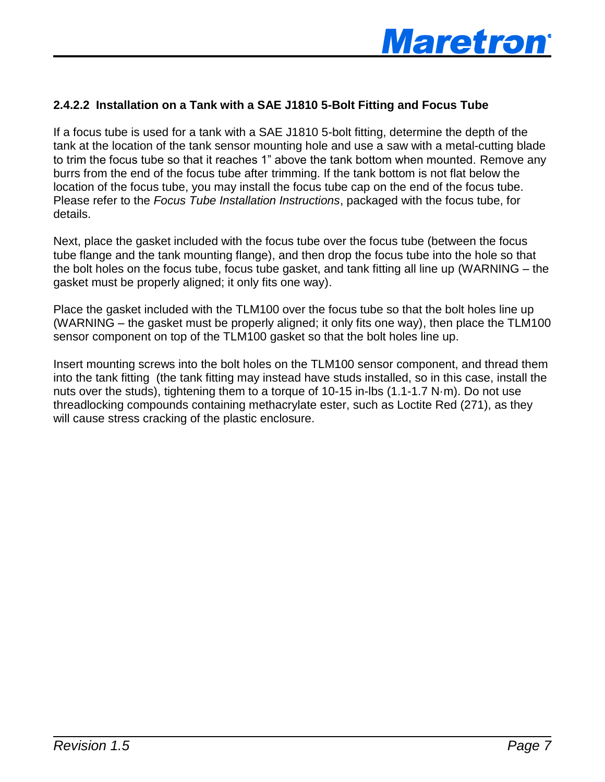

#### **2.4.2.2 Installation on a Tank with a SAE J1810 5-Bolt Fitting and Focus Tube**

If a focus tube is used for a tank with a SAE J1810 5-bolt fitting, determine the depth of the tank at the location of the tank sensor mounting hole and use a saw with a metal-cutting blade to trim the focus tube so that it reaches 1" above the tank bottom when mounted. Remove any burrs from the end of the focus tube after trimming. If the tank bottom is not flat below the location of the focus tube, you may install the focus tube cap on the end of the focus tube. Please refer to the *Focus Tube Installation Instructions*, packaged with the focus tube, for details.

Next, place the gasket included with the focus tube over the focus tube (between the focus tube flange and the tank mounting flange), and then drop the focus tube into the hole so that the bolt holes on the focus tube, focus tube gasket, and tank fitting all line up (WARNING – the gasket must be properly aligned; it only fits one way).

Place the gasket included with the TLM100 over the focus tube so that the bolt holes line up (WARNING – the gasket must be properly aligned; it only fits one way), then place the TLM100 sensor component on top of the TLM100 gasket so that the bolt holes line up.

Insert mounting screws into the bolt holes on the TLM100 sensor component, and thread them into the tank fitting (the tank fitting may instead have studs installed, so in this case, install the nuts over the studs), tightening them to a torque of 10-15 in-lbs (1.1-1.7 N·m). Do not use threadlocking compounds containing methacrylate ester, such as Loctite Red (271), as they will cause stress cracking of the plastic enclosure.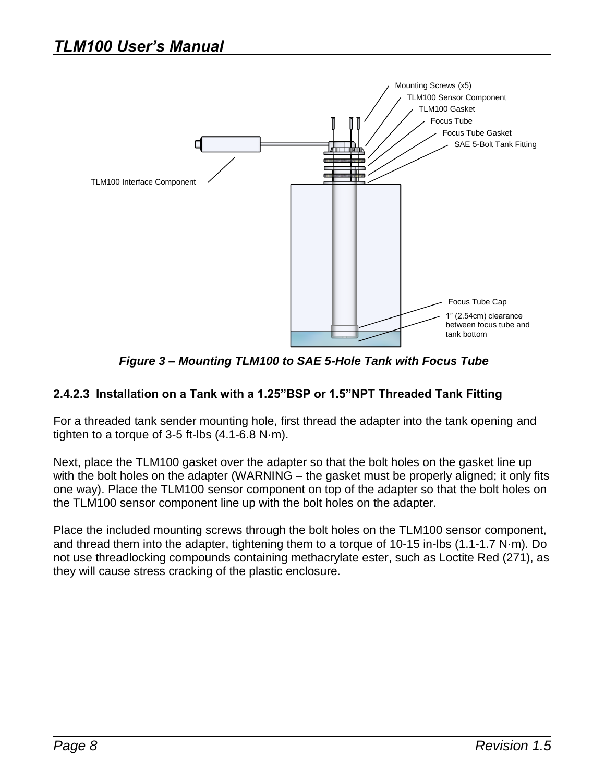

*Figure 3 – Mounting TLM100 to SAE 5-Hole Tank with Focus Tube*

#### **2.4.2.3 Installation on a Tank with a 1.25"BSP or 1.5"NPT Threaded Tank Fitting**

For a threaded tank sender mounting hole, first thread the adapter into the tank opening and tighten to a torque of 3-5 ft-lbs (4.1-6.8 N·m).

Next, place the TLM100 gasket over the adapter so that the bolt holes on the gasket line up with the bolt holes on the adapter (WARNING – the gasket must be properly aligned; it only fits one way). Place the TLM100 sensor component on top of the adapter so that the bolt holes on the TLM100 sensor component line up with the bolt holes on the adapter.

Place the included mounting screws through the bolt holes on the TLM100 sensor component, and thread them into the adapter, tightening them to a torque of 10-15 in-lbs (1.1-1.7 N·m). Do not use threadlocking compounds containing methacrylate ester, such as Loctite Red (271), as they will cause stress cracking of the plastic enclosure.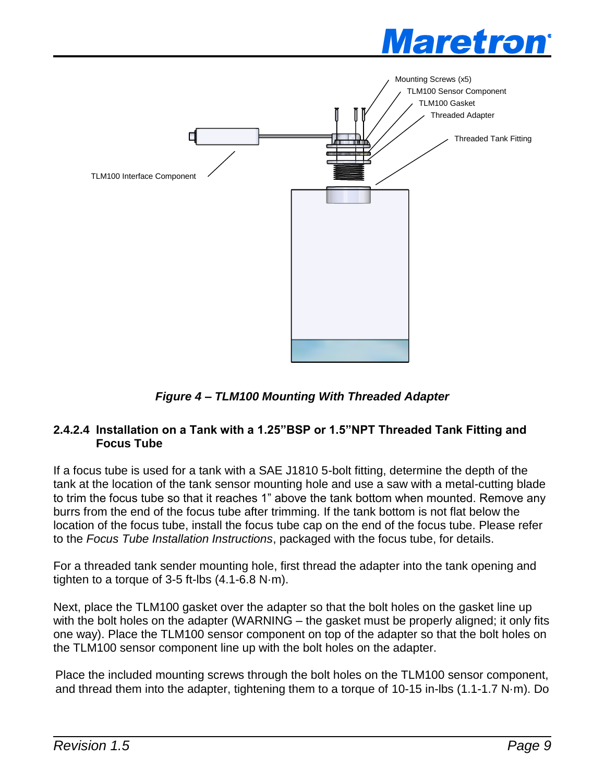



*Figure 4 – TLM100 Mounting With Threaded Adapter*

#### **2.4.2.4 Installation on a Tank with a 1.25"BSP or 1.5"NPT Threaded Tank Fitting and Focus Tube**

If a focus tube is used for a tank with a SAE J1810 5-bolt fitting, determine the depth of the tank at the location of the tank sensor mounting hole and use a saw with a metal-cutting blade to trim the focus tube so that it reaches 1" above the tank bottom when mounted. Remove any burrs from the end of the focus tube after trimming. If the tank bottom is not flat below the location of the focus tube, install the focus tube cap on the end of the focus tube. Please refer to the *Focus Tube Installation Instructions*, packaged with the focus tube, for details.

For a threaded tank sender mounting hole, first thread the adapter into the tank opening and tighten to a torque of 3-5 ft-lbs (4.1-6.8 N·m).

Next, place the TLM100 gasket over the adapter so that the bolt holes on the gasket line up with the bolt holes on the adapter (WARNING – the gasket must be properly aligned; it only fits one way). Place the TLM100 sensor component on top of the adapter so that the bolt holes on the TLM100 sensor component line up with the bolt holes on the adapter.

Place the included mounting screws through the bolt holes on the TLM100 sensor component, and thread them into the adapter, tightening them to a torque of 10-15 in-lbs (1.1-1.7 N·m). Do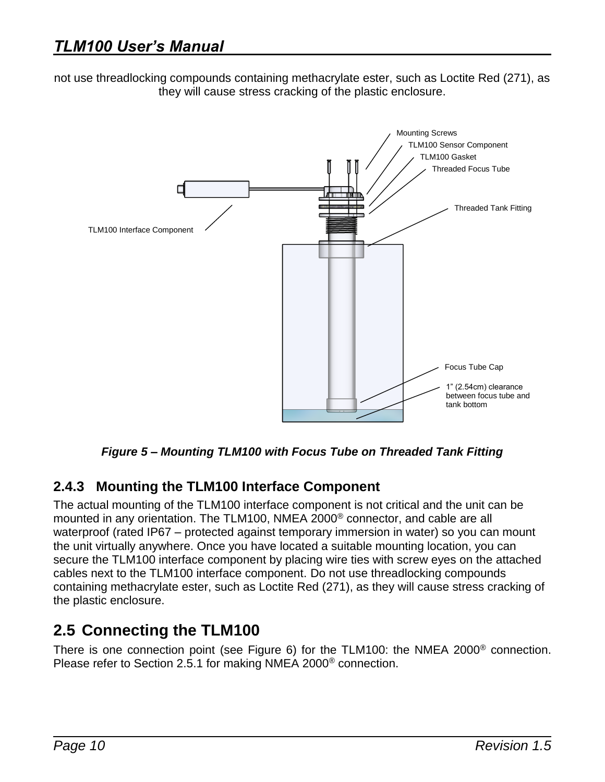not use threadlocking compounds containing methacrylate ester, such as Loctite Red (271), as they will cause stress cracking of the plastic enclosure.



*Figure 5 – Mounting TLM100 with Focus Tube on Threaded Tank Fitting*

#### <span id="page-13-0"></span>**2.4.3 Mounting the TLM100 Interface Component**

The actual mounting of the TLM100 interface component is not critical and the unit can be mounted in any orientation. The TLM100, NMEA 2000® connector, and cable are all waterproof (rated IP67 – protected against temporary immersion in water) so you can mount the unit virtually anywhere. Once you have located a suitable mounting location, you can secure the TLM100 interface component by placing wire ties with screw eyes on the attached cables next to the TLM100 interface component. Do not use threadlocking compounds containing methacrylate ester, such as Loctite Red (271), as they will cause stress cracking of the plastic enclosure.

## <span id="page-13-1"></span>**2.5 Connecting the TLM100**

There is one connection point (see [Figure 6\)](#page-14-2) for the TLM100: the NMEA 2000® connection. Please refer to Section [2.5.1](#page-14-0) for making NMEA 2000® connection.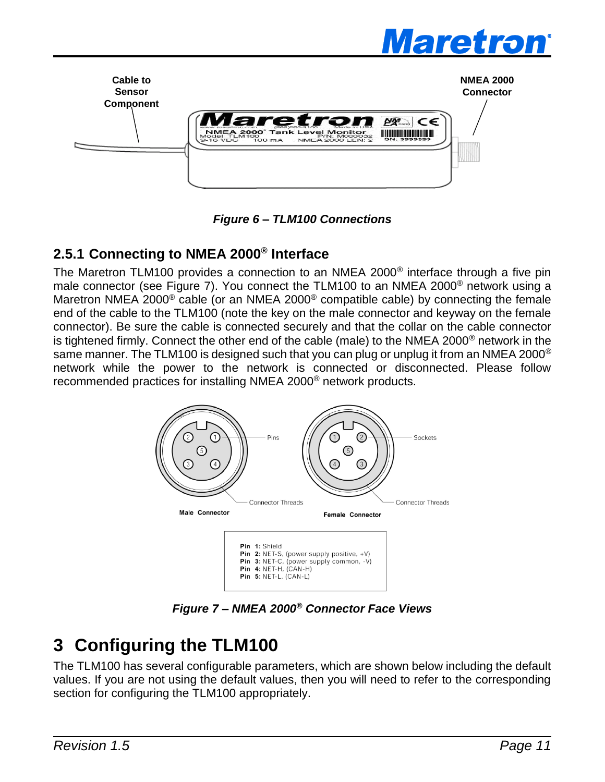



*Figure 6 – TLM100 Connections*

#### <span id="page-14-2"></span><span id="page-14-0"></span>**2.5.1 Connecting to NMEA 2000® Interface**

The Maretron TLM100 provides a connection to an NMEA 2000® interface through a five pin male connector (see [Figure 7\)](#page-14-3). You connect the TLM100 to an NMEA 2000® network using a Maretron NMEA 2000® cable (or an NMEA 2000® compatible cable) by connecting the female end of the cable to the TLM100 (note the key on the male connector and keyway on the female connector). Be sure the cable is connected securely and that the collar on the cable connector is tightened firmly. Connect the other end of the cable (male) to the NMEA 2000<sup>®</sup> network in the same manner. The TLM100 is designed such that you can plug or unplug it from an NMEA 2000<sup>®</sup> network while the power to the network is connected or disconnected. Please follow recommended practices for installing NMEA 2000® network products.



*Figure 7 – NMEA 2000® Connector Face Views*

# <span id="page-14-3"></span><span id="page-14-1"></span>**3 Configuring the TLM100**

The TLM100 has several configurable parameters, which are shown below including the default values. If you are not using the default values, then you will need to refer to the corresponding section for configuring the TLM100 appropriately.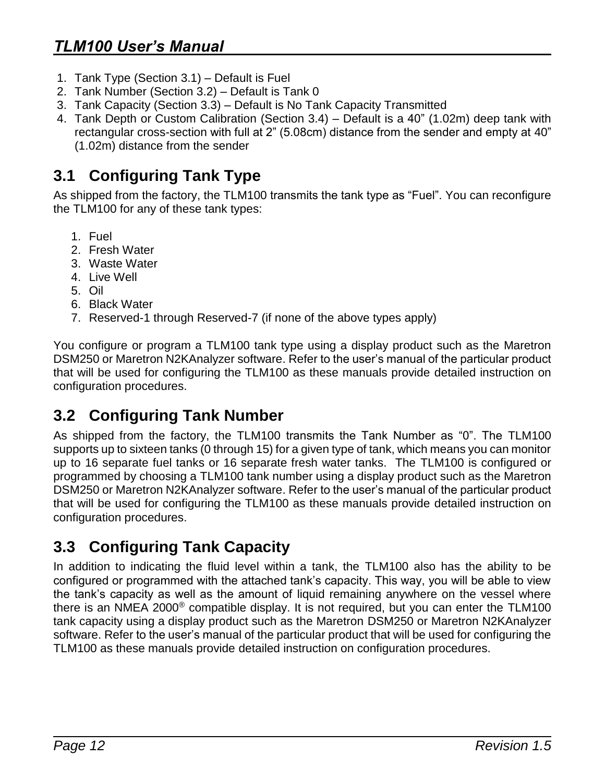## *TLM100 User's Manual*

- 1. Tank Type (Section [3.1\)](#page-15-0) Default is Fuel
- 2. Tank Number (Section [3.2\)](#page-15-1) Default is Tank 0
- 3. Tank Capacity (Section [3.3\)](#page-15-2) Default is No Tank Capacity Transmitted
- 4. Tank Depth or Custom Calibration (Section [3.4\)](#page-16-0) Default is a 40" (1.02m) deep tank with rectangular cross-section with full at 2" (5.08cm) distance from the sender and empty at 40" (1.02m) distance from the sender

## <span id="page-15-0"></span>**3.1 Configuring Tank Type**

As shipped from the factory, the TLM100 transmits the tank type as "Fuel". You can reconfigure the TLM100 for any of these tank types:

- 1. Fuel
- 2. Fresh Water
- 3. Waste Water
- 4. Live Well
- 5. Oil
- 6. Black Water
- 7. Reserved-1 through Reserved-7 (if none of the above types apply)

You configure or program a TLM100 tank type using a display product such as the Maretron DSM250 or Maretron N2KAnalyzer software. Refer to the user's manual of the particular product that will be used for configuring the TLM100 as these manuals provide detailed instruction on configuration procedures.

## <span id="page-15-1"></span>**3.2 Configuring Tank Number**

As shipped from the factory, the TLM100 transmits the Tank Number as "0". The TLM100 supports up to sixteen tanks (0 through 15) for a given type of tank, which means you can monitor up to 16 separate fuel tanks or 16 separate fresh water tanks. The TLM100 is configured or programmed by choosing a TLM100 tank number using a display product such as the Maretron DSM250 or Maretron N2KAnalyzer software. Refer to the user's manual of the particular product that will be used for configuring the TLM100 as these manuals provide detailed instruction on configuration procedures.

## <span id="page-15-2"></span>**3.3 Configuring Tank Capacity**

In addition to indicating the fluid level within a tank, the TLM100 also has the ability to be configured or programmed with the attached tank's capacity. This way, you will be able to view the tank's capacity as well as the amount of liquid remaining anywhere on the vessel where there is an NMEA 2000® compatible display. It is not required, but you can enter the TLM100 tank capacity using a display product such as the Maretron DSM250 or Maretron N2KAnalyzer software. Refer to the user's manual of the particular product that will be used for configuring the TLM100 as these manuals provide detailed instruction on configuration procedures.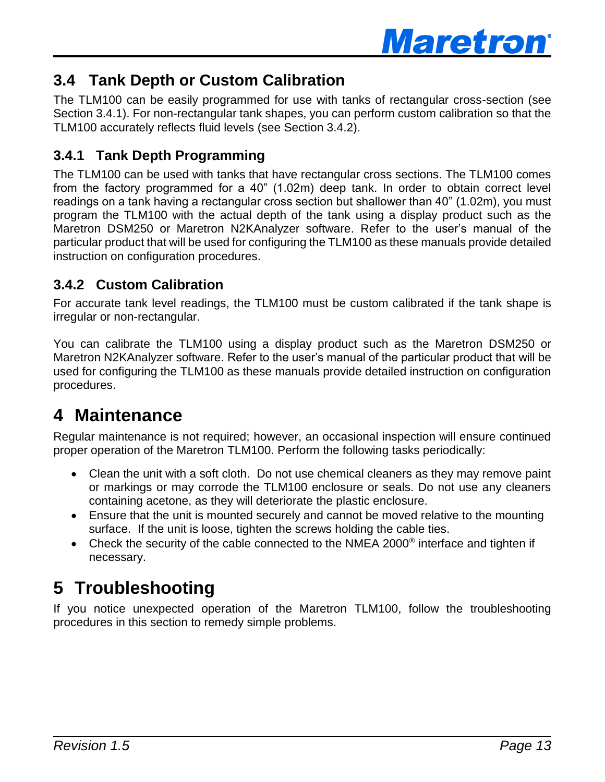

## <span id="page-16-0"></span>**3.4 Tank Depth or Custom Calibration**

The TLM100 can be easily programmed for use with tanks of rectangular cross-section (see Section [3.4.1\)](#page-16-1). For non-rectangular tank shapes, you can perform custom calibration so that the TLM100 accurately reflects fluid levels (see Section [3.4.2\)](#page-16-2).

#### <span id="page-16-1"></span>**3.4.1 Tank Depth Programming**

The TLM100 can be used with tanks that have rectangular cross sections. The TLM100 comes from the factory programmed for a 40" (1.02m) deep tank. In order to obtain correct level readings on a tank having a rectangular cross section but shallower than 40" (1.02m), you must program the TLM100 with the actual depth of the tank using a display product such as the Maretron DSM250 or Maretron N2KAnalyzer software. Refer to the user's manual of the particular product that will be used for configuring the TLM100 as these manuals provide detailed instruction on configuration procedures.

#### <span id="page-16-2"></span>**3.4.2 Custom Calibration**

For accurate tank level readings, the TLM100 must be custom calibrated if the tank shape is irregular or non-rectangular.

You can calibrate the TLM100 using a display product such as the Maretron DSM250 or Maretron N2KAnalyzer software. Refer to the user's manual of the particular product that will be used for configuring the TLM100 as these manuals provide detailed instruction on configuration procedures.

## <span id="page-16-3"></span>**4 Maintenance**

Regular maintenance is not required; however, an occasional inspection will ensure continued proper operation of the Maretron TLM100. Perform the following tasks periodically:

- Clean the unit with a soft cloth. Do not use chemical cleaners as they may remove paint or markings or may corrode the TLM100 enclosure or seals. Do not use any cleaners containing acetone, as they will deteriorate the plastic enclosure.
- Ensure that the unit is mounted securely and cannot be moved relative to the mounting surface. If the unit is loose, tighten the screws holding the cable ties.
- Check the security of the cable connected to the NMEA 2000<sup>®</sup> interface and tighten if necessary.

# <span id="page-16-4"></span>**5 Troubleshooting**

If you notice unexpected operation of the Maretron TLM100, follow the troubleshooting procedures in this section to remedy simple problems.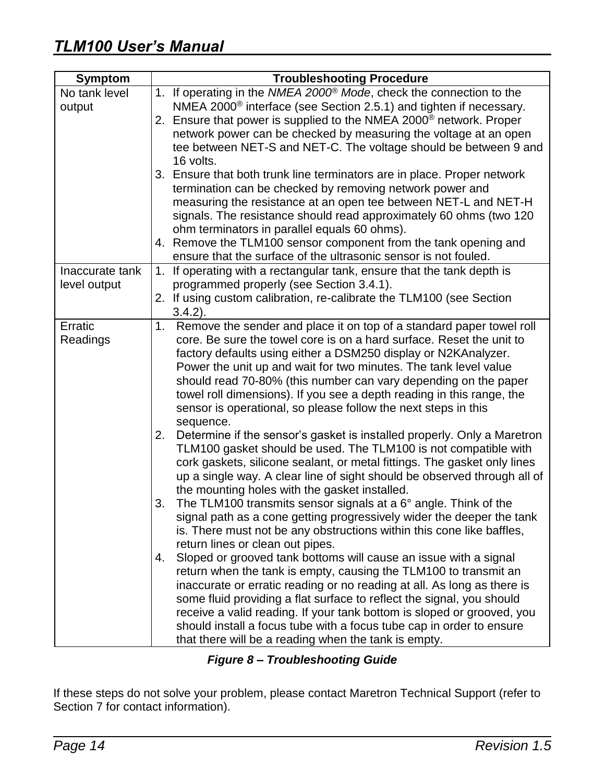| Symptom         | <b>Troubleshooting Procedure</b>                                                                                                                                                                                                                                                                                                                                                                                                                                                                                                                                                                                                                                                                                                                                                                                                                                                                                                                                                                                                                                                                                                                                                                                                                                                                              |
|-----------------|---------------------------------------------------------------------------------------------------------------------------------------------------------------------------------------------------------------------------------------------------------------------------------------------------------------------------------------------------------------------------------------------------------------------------------------------------------------------------------------------------------------------------------------------------------------------------------------------------------------------------------------------------------------------------------------------------------------------------------------------------------------------------------------------------------------------------------------------------------------------------------------------------------------------------------------------------------------------------------------------------------------------------------------------------------------------------------------------------------------------------------------------------------------------------------------------------------------------------------------------------------------------------------------------------------------|
| No tank level   | 1. If operating in the NMEA 2000 <sup>®</sup> Mode, check the connection to the                                                                                                                                                                                                                                                                                                                                                                                                                                                                                                                                                                                                                                                                                                                                                                                                                                                                                                                                                                                                                                                                                                                                                                                                                               |
| output          | NMEA 2000 $^{\circ}$ interface (see Section 2.5.1) and tighten if necessary.                                                                                                                                                                                                                                                                                                                                                                                                                                                                                                                                                                                                                                                                                                                                                                                                                                                                                                                                                                                                                                                                                                                                                                                                                                  |
|                 | 2. Ensure that power is supplied to the NMEA 2000 <sup>®</sup> network. Proper                                                                                                                                                                                                                                                                                                                                                                                                                                                                                                                                                                                                                                                                                                                                                                                                                                                                                                                                                                                                                                                                                                                                                                                                                                |
|                 | network power can be checked by measuring the voltage at an open                                                                                                                                                                                                                                                                                                                                                                                                                                                                                                                                                                                                                                                                                                                                                                                                                                                                                                                                                                                                                                                                                                                                                                                                                                              |
|                 | tee between NET-S and NET-C. The voltage should be between 9 and                                                                                                                                                                                                                                                                                                                                                                                                                                                                                                                                                                                                                                                                                                                                                                                                                                                                                                                                                                                                                                                                                                                                                                                                                                              |
|                 | 16 volts.                                                                                                                                                                                                                                                                                                                                                                                                                                                                                                                                                                                                                                                                                                                                                                                                                                                                                                                                                                                                                                                                                                                                                                                                                                                                                                     |
|                 | 3. Ensure that both trunk line terminators are in place. Proper network                                                                                                                                                                                                                                                                                                                                                                                                                                                                                                                                                                                                                                                                                                                                                                                                                                                                                                                                                                                                                                                                                                                                                                                                                                       |
|                 | termination can be checked by removing network power and                                                                                                                                                                                                                                                                                                                                                                                                                                                                                                                                                                                                                                                                                                                                                                                                                                                                                                                                                                                                                                                                                                                                                                                                                                                      |
|                 | measuring the resistance at an open tee between NET-L and NET-H                                                                                                                                                                                                                                                                                                                                                                                                                                                                                                                                                                                                                                                                                                                                                                                                                                                                                                                                                                                                                                                                                                                                                                                                                                               |
|                 | signals. The resistance should read approximately 60 ohms (two 120                                                                                                                                                                                                                                                                                                                                                                                                                                                                                                                                                                                                                                                                                                                                                                                                                                                                                                                                                                                                                                                                                                                                                                                                                                            |
|                 | ohm terminators in parallel equals 60 ohms).                                                                                                                                                                                                                                                                                                                                                                                                                                                                                                                                                                                                                                                                                                                                                                                                                                                                                                                                                                                                                                                                                                                                                                                                                                                                  |
|                 | 4. Remove the TLM100 sensor component from the tank opening and                                                                                                                                                                                                                                                                                                                                                                                                                                                                                                                                                                                                                                                                                                                                                                                                                                                                                                                                                                                                                                                                                                                                                                                                                                               |
|                 | ensure that the surface of the ultrasonic sensor is not fouled.                                                                                                                                                                                                                                                                                                                                                                                                                                                                                                                                                                                                                                                                                                                                                                                                                                                                                                                                                                                                                                                                                                                                                                                                                                               |
| Inaccurate tank | 1.                                                                                                                                                                                                                                                                                                                                                                                                                                                                                                                                                                                                                                                                                                                                                                                                                                                                                                                                                                                                                                                                                                                                                                                                                                                                                                            |
|                 |                                                                                                                                                                                                                                                                                                                                                                                                                                                                                                                                                                                                                                                                                                                                                                                                                                                                                                                                                                                                                                                                                                                                                                                                                                                                                                               |
|                 |                                                                                                                                                                                                                                                                                                                                                                                                                                                                                                                                                                                                                                                                                                                                                                                                                                                                                                                                                                                                                                                                                                                                                                                                                                                                                                               |
|                 | $3.4.2$ ).                                                                                                                                                                                                                                                                                                                                                                                                                                                                                                                                                                                                                                                                                                                                                                                                                                                                                                                                                                                                                                                                                                                                                                                                                                                                                                    |
| Erratic         | Remove the sender and place it on top of a standard paper towel roll<br>1.                                                                                                                                                                                                                                                                                                                                                                                                                                                                                                                                                                                                                                                                                                                                                                                                                                                                                                                                                                                                                                                                                                                                                                                                                                    |
| Readings        | core. Be sure the towel core is on a hard surface. Reset the unit to                                                                                                                                                                                                                                                                                                                                                                                                                                                                                                                                                                                                                                                                                                                                                                                                                                                                                                                                                                                                                                                                                                                                                                                                                                          |
|                 |                                                                                                                                                                                                                                                                                                                                                                                                                                                                                                                                                                                                                                                                                                                                                                                                                                                                                                                                                                                                                                                                                                                                                                                                                                                                                                               |
|                 | Power the unit up and wait for two minutes. The tank level value                                                                                                                                                                                                                                                                                                                                                                                                                                                                                                                                                                                                                                                                                                                                                                                                                                                                                                                                                                                                                                                                                                                                                                                                                                              |
|                 | should read 70-80% (this number can vary depending on the paper                                                                                                                                                                                                                                                                                                                                                                                                                                                                                                                                                                                                                                                                                                                                                                                                                                                                                                                                                                                                                                                                                                                                                                                                                                               |
|                 | towel roll dimensions). If you see a depth reading in this range, the                                                                                                                                                                                                                                                                                                                                                                                                                                                                                                                                                                                                                                                                                                                                                                                                                                                                                                                                                                                                                                                                                                                                                                                                                                         |
|                 | sensor is operational, so please follow the next steps in this                                                                                                                                                                                                                                                                                                                                                                                                                                                                                                                                                                                                                                                                                                                                                                                                                                                                                                                                                                                                                                                                                                                                                                                                                                                |
|                 | sequence.                                                                                                                                                                                                                                                                                                                                                                                                                                                                                                                                                                                                                                                                                                                                                                                                                                                                                                                                                                                                                                                                                                                                                                                                                                                                                                     |
|                 | Determine if the sensor's gasket is installed properly. Only a Maretron<br>2.                                                                                                                                                                                                                                                                                                                                                                                                                                                                                                                                                                                                                                                                                                                                                                                                                                                                                                                                                                                                                                                                                                                                                                                                                                 |
|                 |                                                                                                                                                                                                                                                                                                                                                                                                                                                                                                                                                                                                                                                                                                                                                                                                                                                                                                                                                                                                                                                                                                                                                                                                                                                                                                               |
|                 |                                                                                                                                                                                                                                                                                                                                                                                                                                                                                                                                                                                                                                                                                                                                                                                                                                                                                                                                                                                                                                                                                                                                                                                                                                                                                                               |
|                 |                                                                                                                                                                                                                                                                                                                                                                                                                                                                                                                                                                                                                                                                                                                                                                                                                                                                                                                                                                                                                                                                                                                                                                                                                                                                                                               |
|                 |                                                                                                                                                                                                                                                                                                                                                                                                                                                                                                                                                                                                                                                                                                                                                                                                                                                                                                                                                                                                                                                                                                                                                                                                                                                                                                               |
|                 | 3.                                                                                                                                                                                                                                                                                                                                                                                                                                                                                                                                                                                                                                                                                                                                                                                                                                                                                                                                                                                                                                                                                                                                                                                                                                                                                                            |
|                 |                                                                                                                                                                                                                                                                                                                                                                                                                                                                                                                                                                                                                                                                                                                                                                                                                                                                                                                                                                                                                                                                                                                                                                                                                                                                                                               |
|                 |                                                                                                                                                                                                                                                                                                                                                                                                                                                                                                                                                                                                                                                                                                                                                                                                                                                                                                                                                                                                                                                                                                                                                                                                                                                                                                               |
|                 |                                                                                                                                                                                                                                                                                                                                                                                                                                                                                                                                                                                                                                                                                                                                                                                                                                                                                                                                                                                                                                                                                                                                                                                                                                                                                                               |
|                 | 4.                                                                                                                                                                                                                                                                                                                                                                                                                                                                                                                                                                                                                                                                                                                                                                                                                                                                                                                                                                                                                                                                                                                                                                                                                                                                                                            |
|                 |                                                                                                                                                                                                                                                                                                                                                                                                                                                                                                                                                                                                                                                                                                                                                                                                                                                                                                                                                                                                                                                                                                                                                                                                                                                                                                               |
|                 |                                                                                                                                                                                                                                                                                                                                                                                                                                                                                                                                                                                                                                                                                                                                                                                                                                                                                                                                                                                                                                                                                                                                                                                                                                                                                                               |
|                 |                                                                                                                                                                                                                                                                                                                                                                                                                                                                                                                                                                                                                                                                                                                                                                                                                                                                                                                                                                                                                                                                                                                                                                                                                                                                                                               |
|                 |                                                                                                                                                                                                                                                                                                                                                                                                                                                                                                                                                                                                                                                                                                                                                                                                                                                                                                                                                                                                                                                                                                                                                                                                                                                                                                               |
|                 |                                                                                                                                                                                                                                                                                                                                                                                                                                                                                                                                                                                                                                                                                                                                                                                                                                                                                                                                                                                                                                                                                                                                                                                                                                                                                                               |
|                 |                                                                                                                                                                                                                                                                                                                                                                                                                                                                                                                                                                                                                                                                                                                                                                                                                                                                                                                                                                                                                                                                                                                                                                                                                                                                                                               |
| level output    | If operating with a rectangular tank, ensure that the tank depth is<br>programmed properly (see Section 3.4.1).<br>2. If using custom calibration, re-calibrate the TLM100 (see Section<br>factory defaults using either a DSM250 display or N2KAnalyzer.<br>TLM100 gasket should be used. The TLM100 is not compatible with<br>cork gaskets, silicone sealant, or metal fittings. The gasket only lines<br>up a single way. A clear line of sight should be observed through all of<br>the mounting holes with the gasket installed.<br>The TLM100 transmits sensor signals at a $6^{\circ}$ angle. Think of the<br>signal path as a cone getting progressively wider the deeper the tank<br>is. There must not be any obstructions within this cone like baffles,<br>return lines or clean out pipes.<br>Sloped or grooved tank bottoms will cause an issue with a signal<br>return when the tank is empty, causing the TLM100 to transmit an<br>inaccurate or erratic reading or no reading at all. As long as there is<br>some fluid providing a flat surface to reflect the signal, you should<br>receive a valid reading. If your tank bottom is sloped or grooved, you<br>should install a focus tube with a focus tube cap in order to ensure<br>that there will be a reading when the tank is empty. |

*Figure 8 – Troubleshooting Guide*

<span id="page-17-0"></span>If these steps do not solve your problem, please contact Maretron Technical Support (refer to Section [7](#page-19-0) for contact information).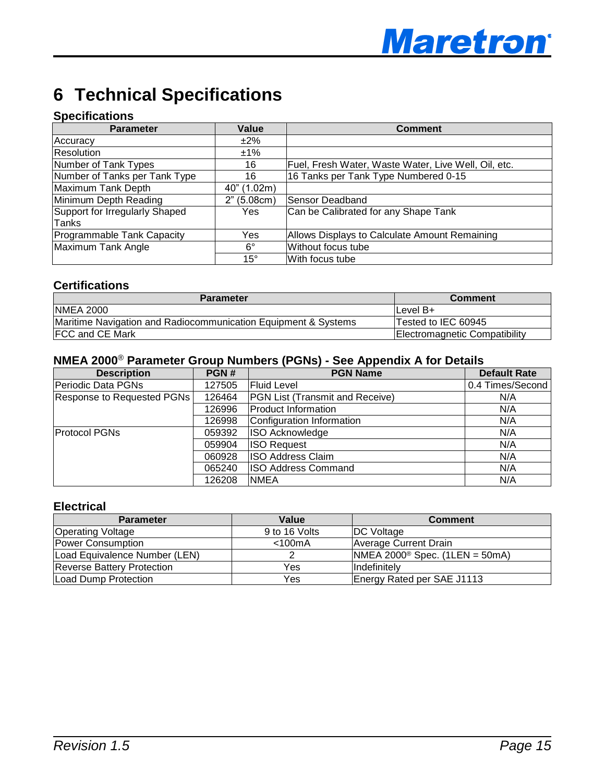# <span id="page-18-0"></span>**6 Technical Specifications**

#### **Specifications**

| <b>Parameter</b>                  | Value       | <b>Comment</b>                                       |
|-----------------------------------|-------------|------------------------------------------------------|
| Accuracy                          | $±2\%$      |                                                      |
| <b>Resolution</b>                 | $±1\%$      |                                                      |
| Number of Tank Types              | 16          | Fuel, Fresh Water, Waste Water, Live Well, Oil, etc. |
| Number of Tanks per Tank Type     | 16          | 16 Tanks per Tank Type Numbered 0-15                 |
| Maximum Tank Depth                | 40" (1.02m) |                                                      |
| Minimum Depth Reading             | 2" (5.08cm) | Sensor Deadband                                      |
| Support for Irregularly Shaped    | Yes         | Can be Calibrated for any Shape Tank                 |
| Tanks                             |             |                                                      |
| <b>Programmable Tank Capacity</b> | Yes         | Allows Displays to Calculate Amount Remaining        |
| Maximum Tank Angle                | ჩ°          | Without focus tube                                   |
|                                   | $15^\circ$  | With focus tube                                      |

#### **Certifications**

| <b>Parameter</b>                                               | <b>Comment</b>                |
|----------------------------------------------------------------|-------------------------------|
| <b>NMEA 2000</b>                                               | ILevel B+                     |
| Maritime Navigation and Radiocommunication Equipment & Systems | Tested to IEC 60945           |
| <b>FCC and CE Mark</b>                                         | Electromagnetic Compatibility |

#### **NMEA 2000**® **Parameter Group Numbers (PGNs) - See Appendix A for Details**

| <b>Description</b>         | PGN#   | <b>PGN Name</b>                        | <b>Default Rate</b> |
|----------------------------|--------|----------------------------------------|---------------------|
| Periodic Data PGNs         | 127505 | <b>Fluid Level</b>                     | 0.4 Times/Second    |
| Response to Requested PGNs | 126464 | <b>PGN List (Transmit and Receive)</b> | N/A                 |
|                            | 126996 | <b>Product Information</b>             | N/A                 |
|                            | 126998 | Configuration Information              | N/A                 |
| <b>Protocol PGNs</b>       | 059392 | <b>ISO Acknowledge</b>                 | N/A                 |
|                            | 059904 | <b>ISO Request</b>                     | N/A                 |
|                            | 060928 | <b>ISO Address Claim</b>               | N/A                 |
|                            | 065240 | <b>ISO Address Command</b>             | N/A                 |
|                            | 126208 | <b>NMEA</b>                            | N/A                 |

#### **Electrical**

| <b>Parameter</b>                  | Value         | <b>Comment</b>                          |
|-----------------------------------|---------------|-----------------------------------------|
| <b>Operating Voltage</b>          | 9 to 16 Volts | <b>DC</b> Voltage                       |
| Power Consumption                 | $<$ 100 $mA$  | Average Current Drain                   |
| Load Equivalence Number (LEN)     |               | $NMEA 2000^{\circ}$ Spec. (1LEN = 50mA) |
| <b>Reverse Battery Protection</b> | Yes           | <b>Indefinitely</b>                     |
| Load Dump Protection              | Yes           | Energy Rated per SAE J1113              |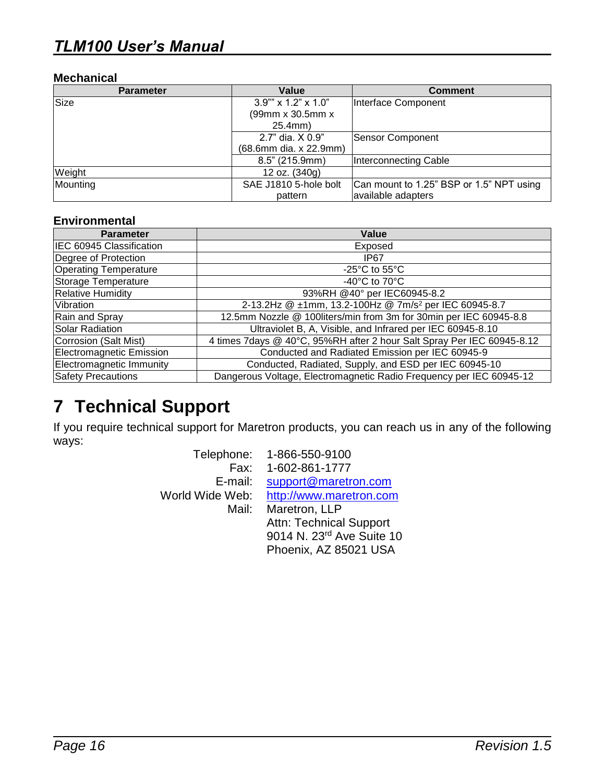#### **Mechanical**

| <b>Parameter</b> | Value                  | <b>Comment</b>                           |
|------------------|------------------------|------------------------------------------|
| Size             | $3.9'''$ x 1.2" x 1.0" | Interface Component                      |
|                  | (99mm x 30.5mm x       |                                          |
|                  | 25.4mm)                |                                          |
|                  | 2.7" dia. X 0.9"       | <b>Sensor Component</b>                  |
|                  | (68.6mm dia. x 22.9mm) |                                          |
|                  | $8.5$ " (215.9mm)      | Interconnecting Cable                    |
| Weight           | 12 oz. (340g)          |                                          |
| Mounting         | SAE J1810 5-hole bolt  | Can mount to 1.25" BSP or 1.5" NPT using |
|                  | pattern                | available adapters                       |

#### **Environmental**

| <b>Parameter</b>                | Value                                                                  |
|---------------------------------|------------------------------------------------------------------------|
| IEC 60945 Classification        | Exposed                                                                |
| Degree of Protection            | IP <sub>67</sub>                                                       |
| <b>Operating Temperature</b>    | $-25^{\circ}$ C to 55 $^{\circ}$ C                                     |
| Storage Temperature             | -40 $^{\circ}$ C to 70 $^{\circ}$ C                                    |
| <b>Relative Humidity</b>        | 93%RH @40° per IEC60945-8.2                                            |
| Vibration                       | 2-13.2Hz @ ±1mm, 13.2-100Hz @ 7m/s <sup>2</sup> per IEC 60945-8.7      |
| Rain and Spray                  | 12.5mm Nozzle @ 100liters/min from 3m for 30min per IEC 60945-8.8      |
| Solar Radiation                 | Ultraviolet B, A, Visible, and Infrared per IEC 60945-8.10             |
| Corrosion (Salt Mist)           | 4 times 7days @ 40°C, 95%RH after 2 hour Salt Spray Per IEC 60945-8.12 |
| Electromagnetic Emission        | Conducted and Radiated Emission per IEC 60945-9                        |
| <b>Electromagnetic Immunity</b> | Conducted, Radiated, Supply, and ESD per IEC 60945-10                  |
| <b>Safety Precautions</b>       | Dangerous Voltage, Electromagnetic Radio Frequency per IEC 60945-12    |

## <span id="page-19-0"></span>**7 Technical Support**

If you require technical support for Maretron products, you can reach us in any of the following ways:

| Telephone:      | 1-866-550-9100                 |
|-----------------|--------------------------------|
| Fax:            | 1-602-861-1777                 |
| E-mail:         | support@maretron.com           |
| World Wide Web: | http://www.maretron.com        |
| Mail:           | Maretron, LLP                  |
|                 | <b>Attn: Technical Support</b> |
|                 | 9014 N. 23rd Ave Suite 10      |
|                 | Phoenix, AZ 85021 USA          |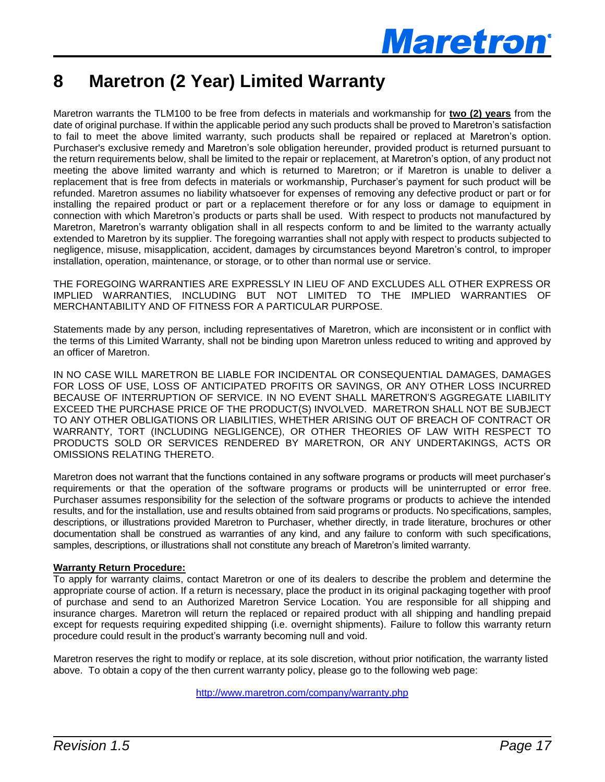

## <span id="page-20-0"></span>**8 Maretron (2 Year) Limited Warranty**

Maretron warrants the TLM100 to be free from defects in materials and workmanship for **two (2) years** from the date of original purchase. If within the applicable period any such products shall be proved to Maretron's satisfaction to fail to meet the above limited warranty, such products shall be repaired or replaced at Maretron's option. Purchaser's exclusive remedy and Maretron's sole obligation hereunder, provided product is returned pursuant to the return requirements below, shall be limited to the repair or replacement, at Maretron's option, of any product not meeting the above limited warranty and which is returned to Maretron; or if Maretron is unable to deliver a replacement that is free from defects in materials or workmanship, Purchaser's payment for such product will be refunded. Maretron assumes no liability whatsoever for expenses of removing any defective product or part or for installing the repaired product or part or a replacement therefore or for any loss or damage to equipment in connection with which Maretron's products or parts shall be used. With respect to products not manufactured by Maretron, Maretron's warranty obligation shall in all respects conform to and be limited to the warranty actually extended to Maretron by its supplier. The foregoing warranties shall not apply with respect to products subjected to negligence, misuse, misapplication, accident, damages by circumstances beyond Maretron's control, to improper installation, operation, maintenance, or storage, or to other than normal use or service.

THE FOREGOING WARRANTIES ARE EXPRESSLY IN LIEU OF AND EXCLUDES ALL OTHER EXPRESS OR IMPLIED WARRANTIES, INCLUDING BUT NOT LIMITED TO THE IMPLIED WARRANTIES OF MERCHANTABILITY AND OF FITNESS FOR A PARTICULAR PURPOSE.

Statements made by any person, including representatives of Maretron, which are inconsistent or in conflict with the terms of this Limited Warranty, shall not be binding upon Maretron unless reduced to writing and approved by an officer of Maretron.

IN NO CASE WILL MARETRON BE LIABLE FOR INCIDENTAL OR CONSEQUENTIAL DAMAGES, DAMAGES FOR LOSS OF USE, LOSS OF ANTICIPATED PROFITS OR SAVINGS, OR ANY OTHER LOSS INCURRED BECAUSE OF INTERRUPTION OF SERVICE. IN NO EVENT SHALL MARETRON'S AGGREGATE LIABILITY EXCEED THE PURCHASE PRICE OF THE PRODUCT(S) INVOLVED. MARETRON SHALL NOT BE SUBJECT TO ANY OTHER OBLIGATIONS OR LIABILITIES, WHETHER ARISING OUT OF BREACH OF CONTRACT OR WARRANTY, TORT (INCLUDING NEGLIGENCE), OR OTHER THEORIES OF LAW WITH RESPECT TO PRODUCTS SOLD OR SERVICES RENDERED BY MARETRON, OR ANY UNDERTAKINGS, ACTS OR OMISSIONS RELATING THERETO.

Maretron does not warrant that the functions contained in any software programs or products will meet purchaser's requirements or that the operation of the software programs or products will be uninterrupted or error free. Purchaser assumes responsibility for the selection of the software programs or products to achieve the intended results, and for the installation, use and results obtained from said programs or products. No specifications, samples, descriptions, or illustrations provided Maretron to Purchaser, whether directly, in trade literature, brochures or other documentation shall be construed as warranties of any kind, and any failure to conform with such specifications, samples, descriptions, or illustrations shall not constitute any breach of Maretron's limited warranty.

#### **Warranty Return Procedure:**

To apply for warranty claims, contact Maretron or one of its dealers to describe the problem and determine the appropriate course of action. If a return is necessary, place the product in its original packaging together with proof of purchase and send to an Authorized Maretron Service Location. You are responsible for all shipping and insurance charges. Maretron will return the replaced or repaired product with all shipping and handling prepaid except for requests requiring expedited shipping (i.e. overnight shipments). Failure to follow this warranty return procedure could result in the product's warranty becoming null and void.

Maretron reserves the right to modify or replace, at its sole discretion, without prior notification, the warranty listed above. To obtain a copy of the then current warranty policy, please go to the following web page:

<http://www.maretron.com/company/warranty.php>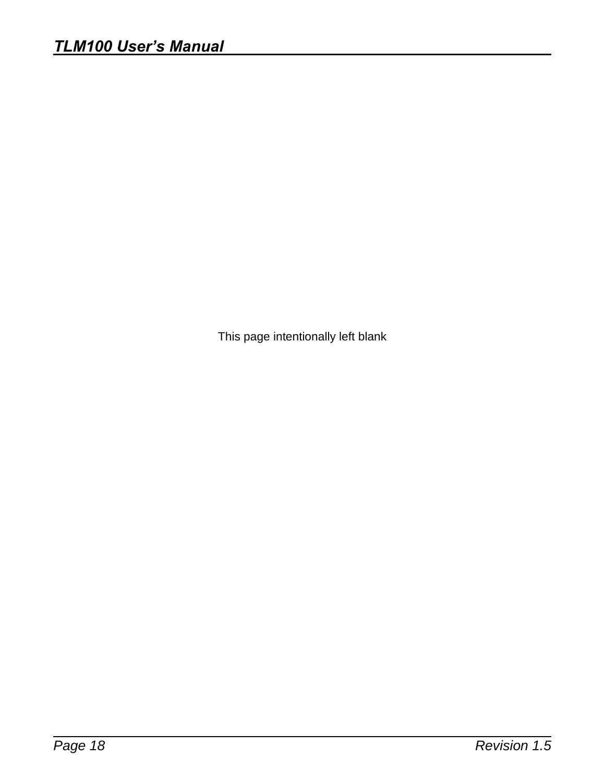This page intentionally left blank